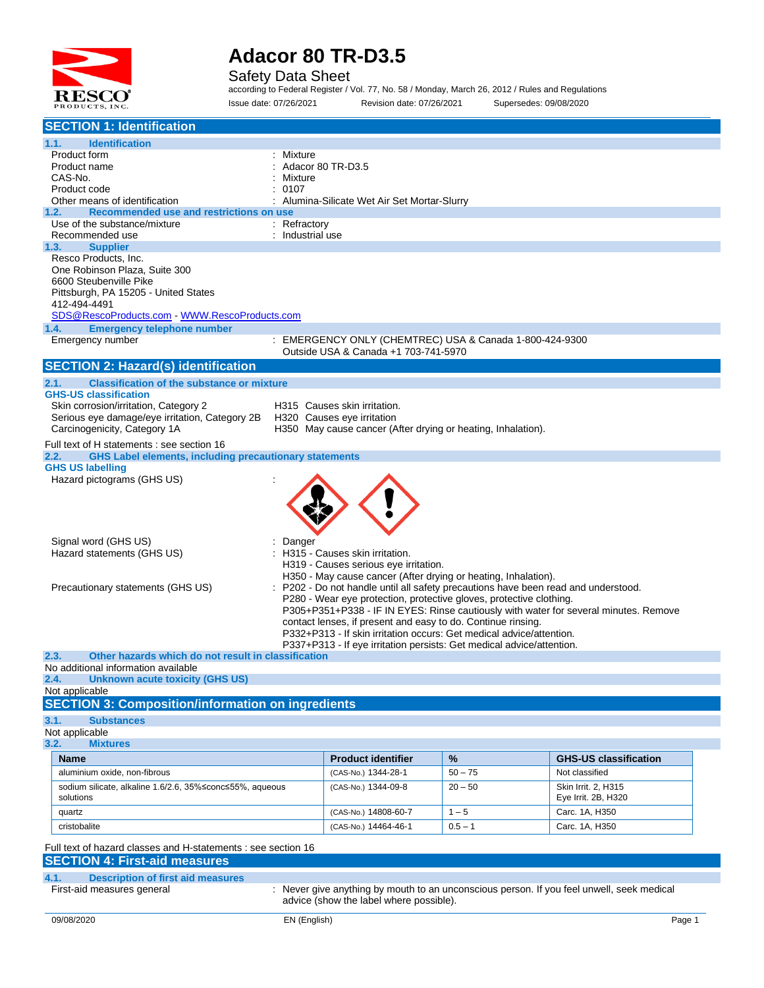

Safety Data Sheet

according to Federal Register / Vol. 77, No. 58 / Monday, March 26, 2012 / Rules and Regulations Issue date: 07/26/2021 Revision date: 07/26/2021 Supersedes: 09/08/2020

| <b>SECTION 1: Identification</b>                                                                                                                                                                                                                                                   |                                                                                                                                                                                                                                                                                                                                                                                                                                   |           |                                                                                                                                                                          |  |
|------------------------------------------------------------------------------------------------------------------------------------------------------------------------------------------------------------------------------------------------------------------------------------|-----------------------------------------------------------------------------------------------------------------------------------------------------------------------------------------------------------------------------------------------------------------------------------------------------------------------------------------------------------------------------------------------------------------------------------|-----------|--------------------------------------------------------------------------------------------------------------------------------------------------------------------------|--|
| <b>Identification</b><br>1.1.<br>Mixture<br>Product form<br>Product name<br>CAS-No.<br>Mixture<br>0107<br>Product code<br>Other means of identification                                                                                                                            | Adacor 80 TR-D3.5<br>: Alumina-Silicate Wet Air Set Mortar-Slurry                                                                                                                                                                                                                                                                                                                                                                 |           |                                                                                                                                                                          |  |
| Recommended use and restrictions on use<br>1.2.<br>Use of the substance/mixture<br>: Refractory<br>: Industrial use<br>Recommended use                                                                                                                                             |                                                                                                                                                                                                                                                                                                                                                                                                                                   |           |                                                                                                                                                                          |  |
| <b>Supplier</b><br>1.3.<br>Resco Products, Inc.<br>One Robinson Plaza, Suite 300<br>6600 Steubenville Pike<br>Pittsburgh, PA 15205 - United States<br>412-494-4491<br>SDS@RescoProducts.com WWW.RescoProducts.com<br><b>Emergency telephone number</b><br>1.4.<br>Emergency number | : EMERGENCY ONLY (CHEMTREC) USA & Canada 1-800-424-9300<br>Outside USA & Canada +1 703-741-5970                                                                                                                                                                                                                                                                                                                                   |           |                                                                                                                                                                          |  |
| <b>SECTION 2: Hazard(s) identification</b>                                                                                                                                                                                                                                         |                                                                                                                                                                                                                                                                                                                                                                                                                                   |           |                                                                                                                                                                          |  |
| <b>Classification of the substance or mixture</b><br>2.1.<br><b>GHS-US classification</b><br>Skin corrosion/irritation, Category 2<br>Serious eye damage/eye irritation, Category 2B<br>Carcinogenicity, Category 1A<br>Full text of H statements : see section 16                 | H315 Causes skin irritation.<br>H320 Causes eye irritation<br>H350 May cause cancer (After drying or heating, Inhalation).                                                                                                                                                                                                                                                                                                        |           |                                                                                                                                                                          |  |
| <b>GHS Label elements, including precautionary statements</b><br>2.2.                                                                                                                                                                                                              |                                                                                                                                                                                                                                                                                                                                                                                                                                   |           |                                                                                                                                                                          |  |
| <b>GHS US labelling</b><br>Hazard pictograms (GHS US)                                                                                                                                                                                                                              |                                                                                                                                                                                                                                                                                                                                                                                                                                   |           |                                                                                                                                                                          |  |
| Signal word (GHS US)<br>Danger<br>Hazard statements (GHS US)<br>Precautionary statements (GHS US)                                                                                                                                                                                  | H315 - Causes skin irritation.<br>H319 - Causes serious eye irritation.<br>H350 - May cause cancer (After drying or heating, Inhalation).<br>P280 - Wear eye protection, protective gloves, protective clothing.<br>contact lenses, if present and easy to do. Continue rinsing.<br>P332+P313 - If skin irritation occurs: Get medical advice/attention.<br>P337+P313 - If eye irritation persists: Get medical advice/attention. |           | P202 - Do not handle until all safety precautions have been read and understood.<br>P305+P351+P338 - IF IN EYES: Rinse cautiously with water for several minutes. Remove |  |
| Other hazards which do not result in classification<br>2.3.                                                                                                                                                                                                                        |                                                                                                                                                                                                                                                                                                                                                                                                                                   |           |                                                                                                                                                                          |  |
| No additional information available<br>2.4.<br><b>Unknown acute toxicity (GHS US)</b><br>Not applicable<br><b>SECTION 3: Composition/information on ingredients</b>                                                                                                                |                                                                                                                                                                                                                                                                                                                                                                                                                                   |           |                                                                                                                                                                          |  |
| 3.1.<br><b>Substances</b><br>Not applicable                                                                                                                                                                                                                                        |                                                                                                                                                                                                                                                                                                                                                                                                                                   |           |                                                                                                                                                                          |  |
| 3.2.<br><b>Mixtures</b>                                                                                                                                                                                                                                                            |                                                                                                                                                                                                                                                                                                                                                                                                                                   |           |                                                                                                                                                                          |  |
| <b>Name</b>                                                                                                                                                                                                                                                                        | <b>Product identifier</b>                                                                                                                                                                                                                                                                                                                                                                                                         | %         | <b>GHS-US classification</b>                                                                                                                                             |  |
| aluminium oxide, non-fibrous                                                                                                                                                                                                                                                       | (CAS-No.) 1344-28-1                                                                                                                                                                                                                                                                                                                                                                                                               | $50 - 75$ | Not classified                                                                                                                                                           |  |
| sodium silicate, alkaline 1.6/2.6, 35%≤conc≤55%, aqueous<br>solutions                                                                                                                                                                                                              | (CAS-No.) 1344-09-8                                                                                                                                                                                                                                                                                                                                                                                                               | $20 - 50$ | Skin Irrit. 2, H315<br>Eye Irrit. 2B, H320                                                                                                                               |  |
| quartz                                                                                                                                                                                                                                                                             | (CAS-No.) 14808-60-7                                                                                                                                                                                                                                                                                                                                                                                                              | $1 - 5$   | Carc. 1A, H350                                                                                                                                                           |  |
| cristobalite                                                                                                                                                                                                                                                                       | (CAS-No.) 14464-46-1                                                                                                                                                                                                                                                                                                                                                                                                              | $0.5 - 1$ | Carc. 1A, H350                                                                                                                                                           |  |
| Full text of hazard classes and H-statements : see section 16<br><b>SECTION 4: First-aid measures</b>                                                                                                                                                                              |                                                                                                                                                                                                                                                                                                                                                                                                                                   |           |                                                                                                                                                                          |  |
| 4.1.<br><b>Description of first aid measures</b><br>First-aid measures general                                                                                                                                                                                                     | advice (show the label where possible).                                                                                                                                                                                                                                                                                                                                                                                           |           | : Never give anything by mouth to an unconscious person. If you feel unwell, seek medical                                                                                |  |
| 09/08/2020<br>EN (English)                                                                                                                                                                                                                                                         |                                                                                                                                                                                                                                                                                                                                                                                                                                   |           | Page 1                                                                                                                                                                   |  |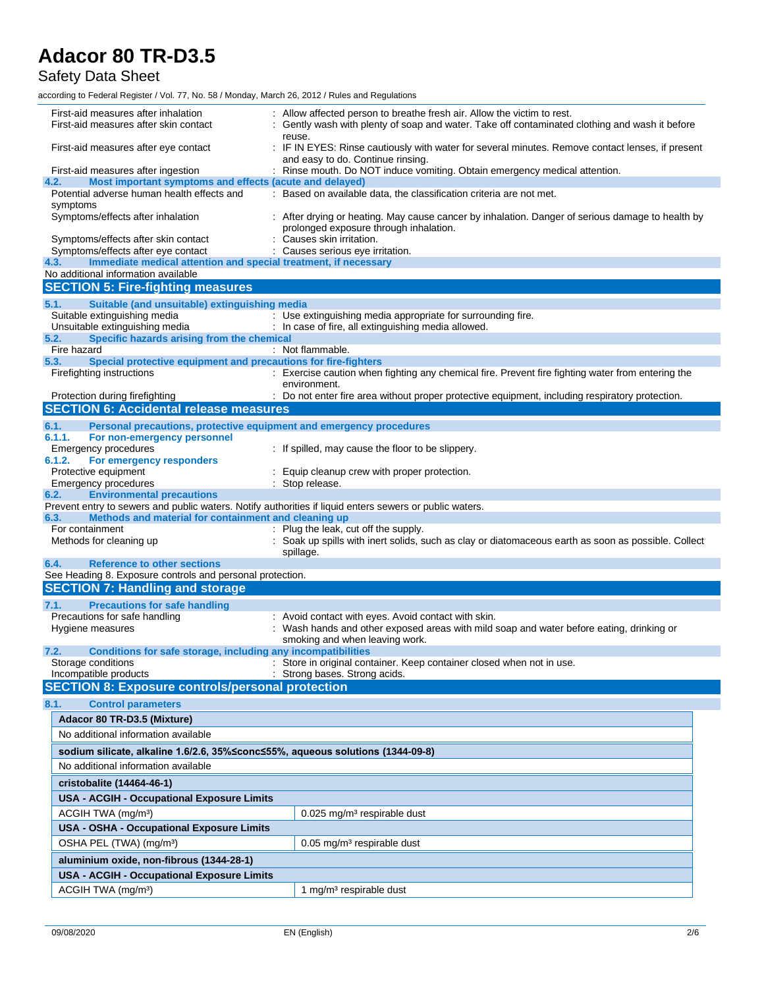### Safety Data Sheet

| First-aid measures after inhalation<br>First-aid measures after skin contact                                                                                            | : Allow affected person to breathe fresh air. Allow the victim to rest.<br>Gently wash with plenty of soap and water. Take off contaminated clothing and wash it before |
|-------------------------------------------------------------------------------------------------------------------------------------------------------------------------|-------------------------------------------------------------------------------------------------------------------------------------------------------------------------|
| First-aid measures after eye contact                                                                                                                                    | reuse.<br>: IF IN EYES: Rinse cautiously with water for several minutes. Remove contact lenses, if present<br>and easy to do. Continue rinsing.                         |
| First-aid measures after ingestion                                                                                                                                      | : Rinse mouth. Do NOT induce vomiting. Obtain emergency medical attention.                                                                                              |
| Most important symptoms and effects (acute and delayed)<br>4.2.                                                                                                         |                                                                                                                                                                         |
| Potential adverse human health effects and<br>symptoms                                                                                                                  | : Based on available data, the classification criteria are not met.                                                                                                     |
| Symptoms/effects after inhalation                                                                                                                                       | : After drying or heating. May cause cancer by inhalation. Danger of serious damage to health by<br>prolonged exposure through inhalation.                              |
| Symptoms/effects after skin contact                                                                                                                                     | Causes skin irritation.                                                                                                                                                 |
| Symptoms/effects after eye contact<br>Immediate medical attention and special treatment, if necessary<br>4.3.                                                           | : Causes serious eye irritation.                                                                                                                                        |
| No additional information available                                                                                                                                     |                                                                                                                                                                         |
| <b>SECTION 5: Fire-fighting measures</b>                                                                                                                                |                                                                                                                                                                         |
| 5.1.<br>Suitable (and unsuitable) extinguishing media                                                                                                                   |                                                                                                                                                                         |
| Suitable extinguishing media                                                                                                                                            | : Use extinguishing media appropriate for surrounding fire.                                                                                                             |
| Unsuitable extinguishing media                                                                                                                                          | : In case of fire, all extinguishing media allowed.                                                                                                                     |
| Specific hazards arising from the chemical<br>5.2.<br>Fire hazard                                                                                                       | : Not flammable.                                                                                                                                                        |
| 5.3.<br>Special protective equipment and precautions for fire-fighters                                                                                                  |                                                                                                                                                                         |
| Firefighting instructions                                                                                                                                               | : Exercise caution when fighting any chemical fire. Prevent fire fighting water from entering the                                                                       |
|                                                                                                                                                                         | environment.                                                                                                                                                            |
| Protection during firefighting                                                                                                                                          | : Do not enter fire area without proper protective equipment, including respiratory protection.                                                                         |
| <b>SECTION 6: Accidental release measures</b>                                                                                                                           |                                                                                                                                                                         |
| 6.1.<br>Personal precautions, protective equipment and emergency procedures                                                                                             |                                                                                                                                                                         |
| 6.1.1.<br>For non-emergency personnel<br>Emergency procedures                                                                                                           | : If spilled, may cause the floor to be slippery.                                                                                                                       |
| 6.1.2.<br>For emergency responders                                                                                                                                      |                                                                                                                                                                         |
| Protective equipment                                                                                                                                                    | Equip cleanup crew with proper protection.                                                                                                                              |
| Emergency procedures                                                                                                                                                    | : Stop release.                                                                                                                                                         |
| <b>Environmental precautions</b><br>6.2.                                                                                                                                |                                                                                                                                                                         |
| Prevent entry to sewers and public waters. Notify authorities if liquid enters sewers or public waters.<br>Methods and material for containment and cleaning up<br>6.3. |                                                                                                                                                                         |
| For containment                                                                                                                                                         | : Plug the leak, cut off the supply.                                                                                                                                    |
| Methods for cleaning up                                                                                                                                                 | : Soak up spills with inert solids, such as clay or diatomaceous earth as soon as possible. Collect<br>spillage.                                                        |
| <b>Reference to other sections</b><br>6.4.<br>See Heading 8. Exposure controls and personal protection.                                                                 |                                                                                                                                                                         |
| <b>SECTION 7: Handling and storage</b>                                                                                                                                  |                                                                                                                                                                         |
|                                                                                                                                                                         |                                                                                                                                                                         |
| <b>Precautions for safe handling</b><br>7.1.<br>Precautions for safe handling                                                                                           | : Avoid contact with eyes. Avoid contact with skin.                                                                                                                     |
| Hygiene measures                                                                                                                                                        | : Wash hands and other exposed areas with mild soap and water before eating, drinking or                                                                                |
|                                                                                                                                                                         | smoking and when leaving work.                                                                                                                                          |
| Conditions for safe storage, including any incompatibilities<br>7.2.                                                                                                    |                                                                                                                                                                         |
| Storage conditions<br>Incompatible products                                                                                                                             | : Store in original container. Keep container closed when not in use.<br>: Strong bases. Strong acids.                                                                  |
| <b>SECTION 8: Exposure controls/personal protection</b>                                                                                                                 |                                                                                                                                                                         |
| 8.1.<br><b>Control parameters</b>                                                                                                                                       |                                                                                                                                                                         |
| Adacor 80 TR-D3.5 (Mixture)                                                                                                                                             |                                                                                                                                                                         |
|                                                                                                                                                                         |                                                                                                                                                                         |
| No additional information available                                                                                                                                     |                                                                                                                                                                         |
| sodium silicate, alkaline 1.6/2.6, 35% ≤conc ≤55%, aqueous solutions (1344-09-8)                                                                                        |                                                                                                                                                                         |
| No additional information available                                                                                                                                     |                                                                                                                                                                         |
| cristobalite (14464-46-1)                                                                                                                                               |                                                                                                                                                                         |
| <b>USA - ACGIH - Occupational Exposure Limits</b>                                                                                                                       |                                                                                                                                                                         |
| ACGIH TWA (mg/m <sup>3</sup> )                                                                                                                                          | 0.025 mg/m <sup>3</sup> respirable dust                                                                                                                                 |
| <b>USA - OSHA - Occupational Exposure Limits</b>                                                                                                                        |                                                                                                                                                                         |
| OSHA PEL (TWA) (mg/m <sup>3</sup> )                                                                                                                                     | 0.05 mg/m <sup>3</sup> respirable dust                                                                                                                                  |
|                                                                                                                                                                         |                                                                                                                                                                         |
| aluminium oxide, non-fibrous (1344-28-1)                                                                                                                                |                                                                                                                                                                         |
|                                                                                                                                                                         |                                                                                                                                                                         |
| <b>USA - ACGIH - Occupational Exposure Limits</b><br>ACGIH TWA (mg/m <sup>3</sup> )                                                                                     | 1 mg/m <sup>3</sup> respirable dust                                                                                                                                     |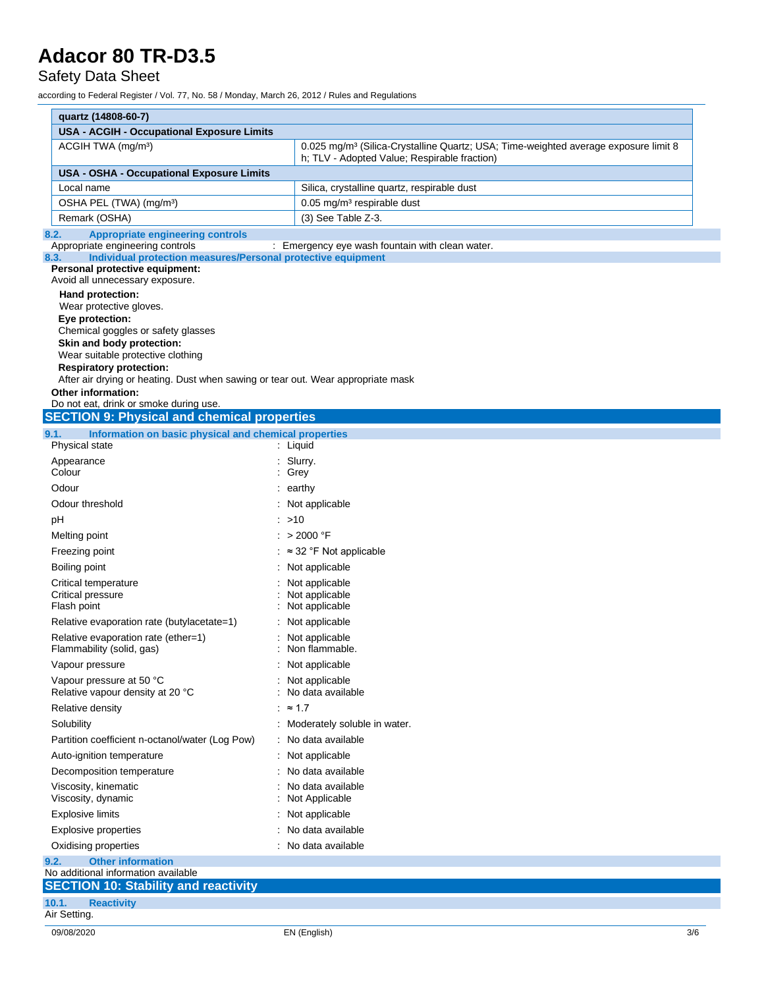### Safety Data Sheet

| quartz (14808-60-7)                                                                                                |                                                                                                                                                 |
|--------------------------------------------------------------------------------------------------------------------|-------------------------------------------------------------------------------------------------------------------------------------------------|
| <b>USA - ACGIH - Occupational Exposure Limits</b>                                                                  |                                                                                                                                                 |
| ACGIH TWA (mg/m <sup>3</sup> )                                                                                     | 0.025 mg/m <sup>3</sup> (Silica-Crystalline Quartz; USA; Time-weighted average exposure limit 8<br>h; TLV - Adopted Value; Respirable fraction) |
| <b>USA - OSHA - Occupational Exposure Limits</b>                                                                   |                                                                                                                                                 |
| Local name                                                                                                         | Silica, crystalline quartz, respirable dust                                                                                                     |
| OSHA PEL (TWA) (mg/m <sup>3</sup> )                                                                                | 0.05 mg/m <sup>3</sup> respirable dust                                                                                                          |
| Remark (OSHA)                                                                                                      | $(3)$ See Table Z-3.                                                                                                                            |
| 8.2.<br><b>Appropriate engineering controls</b>                                                                    |                                                                                                                                                 |
| Appropriate engineering controls<br>Individual protection measures/Personal protective equipment<br>8.3.           | : Emergency eye wash fountain with clean water.                                                                                                 |
| Personal protective equipment:                                                                                     |                                                                                                                                                 |
| Avoid all unnecessary exposure.                                                                                    |                                                                                                                                                 |
| Hand protection:                                                                                                   |                                                                                                                                                 |
| Wear protective gloves.<br>Eye protection:                                                                         |                                                                                                                                                 |
| Chemical goggles or safety glasses                                                                                 |                                                                                                                                                 |
| Skin and body protection:                                                                                          |                                                                                                                                                 |
| Wear suitable protective clothing                                                                                  |                                                                                                                                                 |
| <b>Respiratory protection:</b><br>After air drying or heating. Dust when sawing or tear out. Wear appropriate mask |                                                                                                                                                 |
| Other information:                                                                                                 |                                                                                                                                                 |
| Do not eat, drink or smoke during use.                                                                             |                                                                                                                                                 |
| <b>SECTION 9: Physical and chemical properties</b>                                                                 |                                                                                                                                                 |
| Information on basic physical and chemical properties<br>9.1.                                                      |                                                                                                                                                 |
| Physical state                                                                                                     | $:$ Liquid                                                                                                                                      |
| Appearance                                                                                                         | : Slurry.                                                                                                                                       |
| Colour                                                                                                             | : Grey                                                                                                                                          |
| Odour                                                                                                              | : earthy                                                                                                                                        |
| Odour threshold                                                                                                    | : Not applicable                                                                                                                                |
| pH                                                                                                                 | : >10                                                                                                                                           |
| Melting point                                                                                                      | : $> 2000 °F$                                                                                                                                   |
| Freezing point                                                                                                     | $:$ $\approx$ 32 °F Not applicable                                                                                                              |
| Boiling point                                                                                                      | : Not applicable                                                                                                                                |
| Critical temperature                                                                                               | : Not applicable                                                                                                                                |
| Critical pressure<br>Flash point                                                                                   | : Not applicable<br>Not applicable                                                                                                              |
| Relative evaporation rate (butylacetate=1)                                                                         | Not applicable                                                                                                                                  |
| Relative evaporation rate (ether=1)                                                                                | Not applicable                                                                                                                                  |
| Flammability (solid, gas)                                                                                          | Non flammable.                                                                                                                                  |
| Vapour pressure                                                                                                    | : Not applicable                                                                                                                                |
| Vapour pressure at 50 °C                                                                                           | : Not applicable                                                                                                                                |
| Relative vapour density at 20 °C                                                                                   | No data available                                                                                                                               |
| Relative density                                                                                                   | : $\approx$ 1.7                                                                                                                                 |
| Solubility                                                                                                         | : Moderately soluble in water.                                                                                                                  |
| Partition coefficient n-octanol/water (Log Pow)                                                                    | : No data available                                                                                                                             |
| Auto-ignition temperature                                                                                          | : Not applicable                                                                                                                                |
| Decomposition temperature                                                                                          | : No data available                                                                                                                             |
| Viscosity, kinematic                                                                                               | No data available                                                                                                                               |
| Viscosity, dynamic                                                                                                 | Not Applicable                                                                                                                                  |
| <b>Explosive limits</b>                                                                                            | : Not applicable                                                                                                                                |
| Explosive properties                                                                                               | No data available                                                                                                                               |
|                                                                                                                    | : No data available                                                                                                                             |
|                                                                                                                    |                                                                                                                                                 |
| Oxidising properties                                                                                               |                                                                                                                                                 |
| <b>Other information</b><br>9.2.<br>No additional information available                                            |                                                                                                                                                 |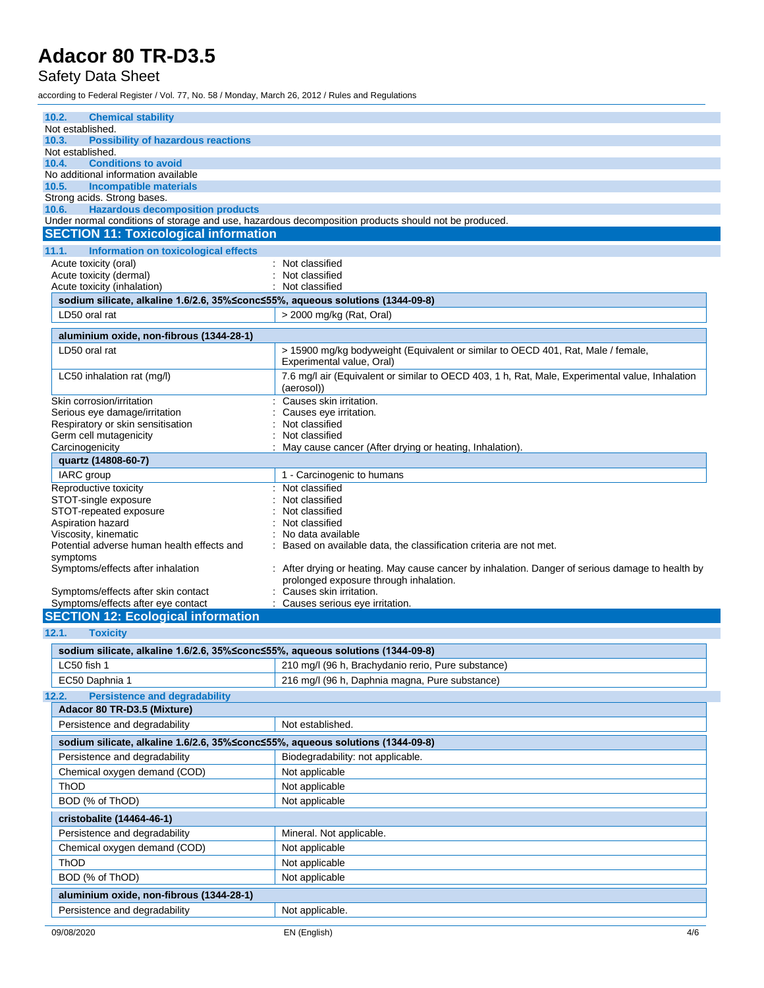### Safety Data Sheet

| 10.2.<br><b>Chemical stability</b>                                               |                                                                                                                                            |
|----------------------------------------------------------------------------------|--------------------------------------------------------------------------------------------------------------------------------------------|
| Not established.                                                                 |                                                                                                                                            |
| <b>Possibility of hazardous reactions</b><br>10.3.                               |                                                                                                                                            |
| Not established.<br><b>Conditions to avoid</b><br>10.4.                          |                                                                                                                                            |
| No additional information available                                              |                                                                                                                                            |
| 10.5.<br><b>Incompatible materials</b>                                           |                                                                                                                                            |
| Strong acids. Strong bases.                                                      |                                                                                                                                            |
| <b>Hazardous decomposition products</b><br>10.6.                                 |                                                                                                                                            |
|                                                                                  | Under normal conditions of storage and use, hazardous decomposition products should not be produced.                                       |
| <b>SECTION 11: Toxicological information</b>                                     |                                                                                                                                            |
| 11.1.<br>Information on toxicological effects                                    |                                                                                                                                            |
| Acute toxicity (oral)                                                            | Not classified                                                                                                                             |
| Acute toxicity (dermal)<br>Acute toxicity (inhalation)                           | Not classified<br>Not classified                                                                                                           |
| sodium silicate, alkaline 1.6/2.6, 35% ≤conc ≤55%, aqueous solutions (1344-09-8) |                                                                                                                                            |
| LD50 oral rat                                                                    | > 2000 mg/kg (Rat, Oral)                                                                                                                   |
|                                                                                  |                                                                                                                                            |
| aluminium oxide, non-fibrous (1344-28-1)                                         |                                                                                                                                            |
| LD50 oral rat                                                                    | > 15900 mg/kg bodyweight (Equivalent or similar to OECD 401, Rat, Male / female,<br>Experimental value, Oral)                              |
| LC50 inhalation rat (mg/l)                                                       | 7.6 mg/l air (Equivalent or similar to OECD 403, 1 h, Rat, Male, Experimental value, Inhalation                                            |
|                                                                                  | (aerosol))                                                                                                                                 |
| Skin corrosion/irritation                                                        | Causes skin irritation.                                                                                                                    |
| Serious eye damage/irritation<br>Respiratory or skin sensitisation               | Causes eye irritation.<br>Not classified                                                                                                   |
| Germ cell mutagenicity                                                           | Not classified                                                                                                                             |
| Carcinogenicity                                                                  | May cause cancer (After drying or heating, Inhalation).                                                                                    |
| quartz (14808-60-7)                                                              |                                                                                                                                            |
| IARC group                                                                       | 1 - Carcinogenic to humans                                                                                                                 |
| Reproductive toxicity                                                            | Not classified                                                                                                                             |
| STOT-single exposure                                                             | Not classified                                                                                                                             |
| STOT-repeated exposure                                                           | Not classified                                                                                                                             |
| Aspiration hazard                                                                | Not classified                                                                                                                             |
| Viscosity, kinematic<br>Potential adverse human health effects and               | No data available<br>Based on available data, the classification criteria are not met.                                                     |
| symptoms                                                                         |                                                                                                                                            |
| Symptoms/effects after inhalation                                                | : After drying or heating. May cause cancer by inhalation. Danger of serious damage to health by<br>prolonged exposure through inhalation. |
| Symptoms/effects after skin contact                                              | Causes skin irritation.                                                                                                                    |
| Symptoms/effects after eye contact                                               | Causes serious eye irritation.                                                                                                             |
| <b>SECTION 12: Ecological information</b>                                        |                                                                                                                                            |
| 12.1.<br><b>Toxicity</b>                                                         |                                                                                                                                            |
| sodium silicate, alkaline 1.6/2.6, 35%≤conc≤55%, aqueous solutions (1344-09-8)   |                                                                                                                                            |
| LC50 fish 1                                                                      | 210 mg/l (96 h, Brachydanio rerio, Pure substance)                                                                                         |
| EC50 Daphnia 1                                                                   | 216 mg/l (96 h, Daphnia magna, Pure substance)                                                                                             |
| <b>Persistence and degradability</b><br>12.2.                                    |                                                                                                                                            |
| Adacor 80 TR-D3.5 (Mixture)                                                      |                                                                                                                                            |
| Persistence and degradability                                                    | Not established.                                                                                                                           |
| sodium silicate, alkaline 1.6/2.6, 35%≤conc≤55%, aqueous solutions (1344-09-8)   |                                                                                                                                            |
|                                                                                  | Biodegradability: not applicable.                                                                                                          |
| Persistence and degradability<br>Chemical oxygen demand (COD)                    |                                                                                                                                            |
|                                                                                  | Not applicable                                                                                                                             |
| ThOD                                                                             | Not applicable                                                                                                                             |
| BOD (% of ThOD)                                                                  | Not applicable                                                                                                                             |
| cristobalite (14464-46-1)                                                        |                                                                                                                                            |
| Persistence and degradability                                                    | Mineral. Not applicable.                                                                                                                   |
| Chemical oxygen demand (COD)                                                     | Not applicable                                                                                                                             |
| ThOD                                                                             | Not applicable                                                                                                                             |
| BOD (% of ThOD)                                                                  | Not applicable                                                                                                                             |
| aluminium oxide, non-fibrous (1344-28-1)                                         |                                                                                                                                            |
| Persistence and degradability                                                    | Not applicable.                                                                                                                            |
|                                                                                  |                                                                                                                                            |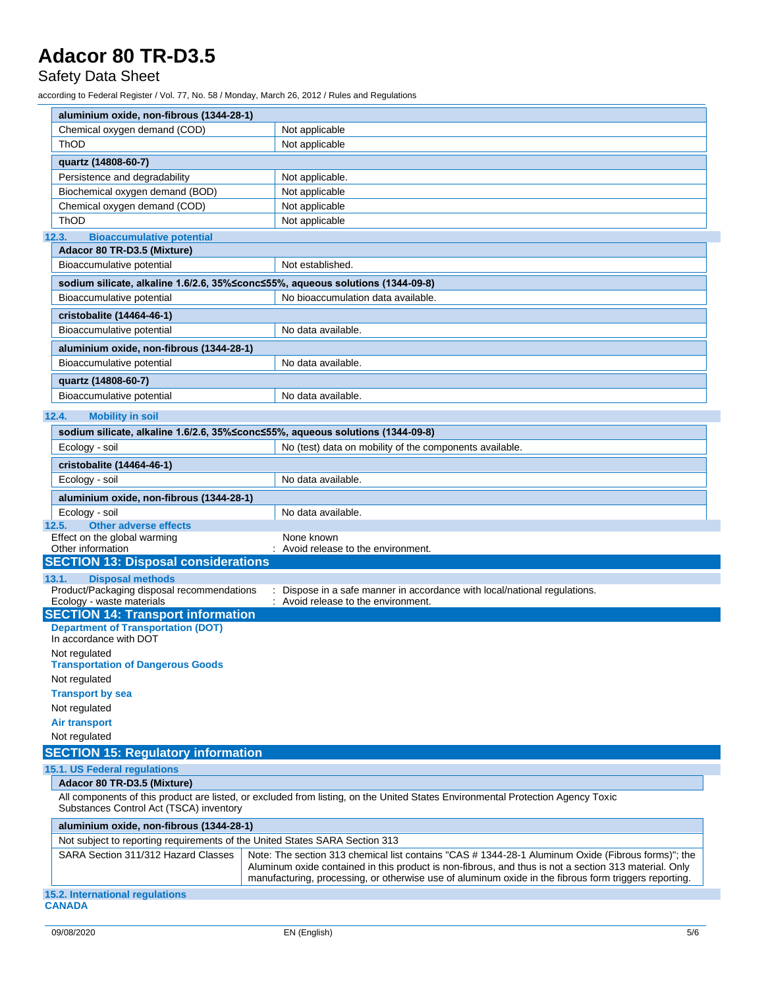Safety Data Sheet

| aluminium oxide, non-fibrous (1344-28-1)                                                                           |                                                                                                                                                                                                                |
|--------------------------------------------------------------------------------------------------------------------|----------------------------------------------------------------------------------------------------------------------------------------------------------------------------------------------------------------|
| Chemical oxygen demand (COD)                                                                                       | Not applicable                                                                                                                                                                                                 |
| ThOD                                                                                                               | Not applicable                                                                                                                                                                                                 |
| quartz (14808-60-7)                                                                                                |                                                                                                                                                                                                                |
| Persistence and degradability                                                                                      | Not applicable.                                                                                                                                                                                                |
| Biochemical oxygen demand (BOD)                                                                                    | Not applicable                                                                                                                                                                                                 |
| Chemical oxygen demand (COD)                                                                                       | Not applicable                                                                                                                                                                                                 |
| ThOD                                                                                                               | Not applicable                                                                                                                                                                                                 |
| <b>Bioaccumulative potential</b><br>12.3.                                                                          |                                                                                                                                                                                                                |
| Adacor 80 TR-D3.5 (Mixture)                                                                                        |                                                                                                                                                                                                                |
| Bioaccumulative potential                                                                                          | Not established.                                                                                                                                                                                               |
|                                                                                                                    | sodium silicate, alkaline 1.6/2.6, 35%≤conc≤55%, aqueous solutions (1344-09-8)                                                                                                                                 |
| Bioaccumulative potential                                                                                          | No bioaccumulation data available.                                                                                                                                                                             |
| cristobalite (14464-46-1)                                                                                          |                                                                                                                                                                                                                |
| Bioaccumulative potential                                                                                          | No data available.                                                                                                                                                                                             |
| aluminium oxide, non-fibrous (1344-28-1)                                                                           |                                                                                                                                                                                                                |
| Bioaccumulative potential                                                                                          | No data available.                                                                                                                                                                                             |
|                                                                                                                    |                                                                                                                                                                                                                |
| quartz (14808-60-7)                                                                                                |                                                                                                                                                                                                                |
| Bioaccumulative potential                                                                                          | No data available.                                                                                                                                                                                             |
| 12.4.<br><b>Mobility in soil</b>                                                                                   |                                                                                                                                                                                                                |
|                                                                                                                    | sodium silicate, alkaline 1.6/2.6, 35%≤conc≤55%, aqueous solutions (1344-09-8)                                                                                                                                 |
| Ecology - soil                                                                                                     | No (test) data on mobility of the components available.                                                                                                                                                        |
| cristobalite (14464-46-1)                                                                                          |                                                                                                                                                                                                                |
| Ecology - soil                                                                                                     | No data available.                                                                                                                                                                                             |
| aluminium oxide, non-fibrous (1344-28-1)                                                                           |                                                                                                                                                                                                                |
| Ecology - soil                                                                                                     | No data available.                                                                                                                                                                                             |
| <b>Other adverse effects</b><br>12.5.                                                                              |                                                                                                                                                                                                                |
| Effect on the global warming                                                                                       | None known                                                                                                                                                                                                     |
| Other information                                                                                                  | : Avoid release to the environment.                                                                                                                                                                            |
| <b>SECTION 13: Disposal considerations</b>                                                                         |                                                                                                                                                                                                                |
| <b>Disposal methods</b><br>13.1.                                                                                   |                                                                                                                                                                                                                |
| Product/Packaging disposal recommendations<br>Ecology - waste materials                                            | : Dispose in a safe manner in accordance with local/national regulations.<br>: Avoid release to the environment.                                                                                               |
| <b>SECTION 14: Transport information</b>                                                                           |                                                                                                                                                                                                                |
| <b>Department of Transportation (DOT)</b>                                                                          |                                                                                                                                                                                                                |
| In accordance with DOT                                                                                             |                                                                                                                                                                                                                |
| Not regulated                                                                                                      |                                                                                                                                                                                                                |
| <b>Transportation of Dangerous Goods</b>                                                                           |                                                                                                                                                                                                                |
| Not regulated                                                                                                      |                                                                                                                                                                                                                |
| <b>Transport by sea</b>                                                                                            |                                                                                                                                                                                                                |
| Not regulated                                                                                                      |                                                                                                                                                                                                                |
| <b>Air transport</b><br>Not regulated                                                                              |                                                                                                                                                                                                                |
|                                                                                                                    |                                                                                                                                                                                                                |
| <b>SECTION 15: Regulatory information</b>                                                                          |                                                                                                                                                                                                                |
| 15.1. US Federal regulations                                                                                       |                                                                                                                                                                                                                |
| Adacor 80 TR-D3.5 (Mixture)                                                                                        |                                                                                                                                                                                                                |
| Substances Control Act (TSCA) inventory                                                                            | All components of this product are listed, or excluded from listing, on the United States Environmental Protection Agency Toxic                                                                                |
|                                                                                                                    |                                                                                                                                                                                                                |
| aluminium oxide, non-fibrous (1344-28-1)                                                                           |                                                                                                                                                                                                                |
| Not subject to reporting requirements of the United States SARA Section 313<br>SARA Section 311/312 Hazard Classes | Note: The section 313 chemical list contains "CAS # 1344-28-1 Aluminum Oxide (Fibrous forms)"; the                                                                                                             |
|                                                                                                                    | Aluminum oxide contained in this product is non-fibrous, and thus is not a section 313 material. Only<br>manufacturing, processing, or otherwise use of aluminum oxide in the fibrous form triggers reporting. |
| 15.2. International regulations<br><b>CANADA</b>                                                                   |                                                                                                                                                                                                                |